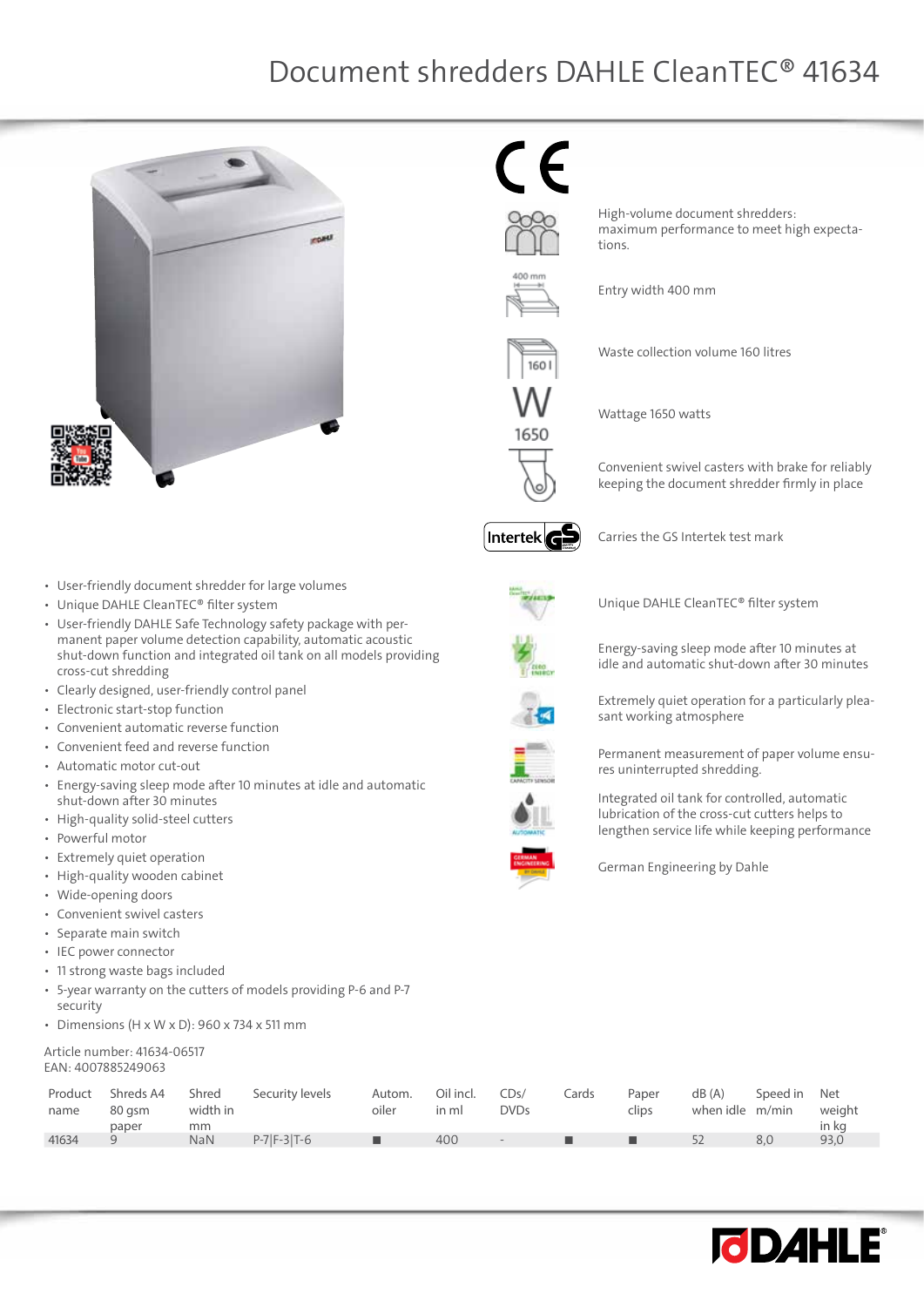$\epsilon$ 

tions.

Entry width 400 mm

Wattage 1650 watts



• User-friendly document shredder for large volumes

- Unique DAHLE CleanTEC® filter system
- • User-friendly DAHLE Safe Technology safety package with permanent paper volume detection capability, automatic acoustic shut-down function and integrated oil tank on all models providing cross-cut shredding
- • Clearly designed, user-friendly control panel
- • Electronic start-stop function
- • Convenient automatic reverse function
- • Convenient feed and reverse function
- • Automatic motor cut-out
- Energy-saving sleep mode after 10 minutes at idle and automatic shut-down after 30 minutes
- High-quality solid-steel cutters
- • Powerful motor
- • Extremely quiet operation
- High-quality wooden cabinet
- • Wide-opening doors
- • Convenient swivel casters
- • Separate main switch
- • IEC power connector
- • 11 strong waste bags included
- • 5-year warranty on the cutters of models providing P-6 and P-7 security
- Dimensions (H x W x D):  $960 \times 734 \times 511$  mm

#### Article number: 41634-06517 EAN: 4007885249063

| Product<br>name | Shreds A4<br>80 asm<br>paper | Shred<br>width in<br>mm | Security levels   | Autom.<br>oiler | Oil incl.<br>in ml | CDs/<br><b>DVDs</b> | Cards | Paper<br>clips | dB (A)<br>when idle m/min | Speed in Net | weight<br>in kg |
|-----------------|------------------------------|-------------------------|-------------------|-----------------|--------------------|---------------------|-------|----------------|---------------------------|--------------|-----------------|
| 41634           |                              | <b>NaN</b>              | $P-7$ $F-3$ $T-6$ | ш               | 400                | $\sim$              |       |                |                           | 8.0          | 93,0            |
|                 |                              |                         |                   |                 |                    |                     |       |                |                           |              |                 |



Carries the GS Intertek test mark

High-volume document shredders:

Waste collection volume 160 litres

maximum performance to meet high expecta-



Unique DAHLE CleanTEC® filter system



Energy-saving sleep mode after 10 minutes at idle and automatic shut-down after 30 minutes

Convenient swivel casters with brake for reliably keeping the document shredder firmly in place

Extremely quiet operation for a particularly pleasant working atmosphere





res uninterrupted shredding. Integrated oil tank for controlled, automatic lubrication of the cross-cut cutters helps to

lengthen service life while keeping performance



German Engineering by Dahle



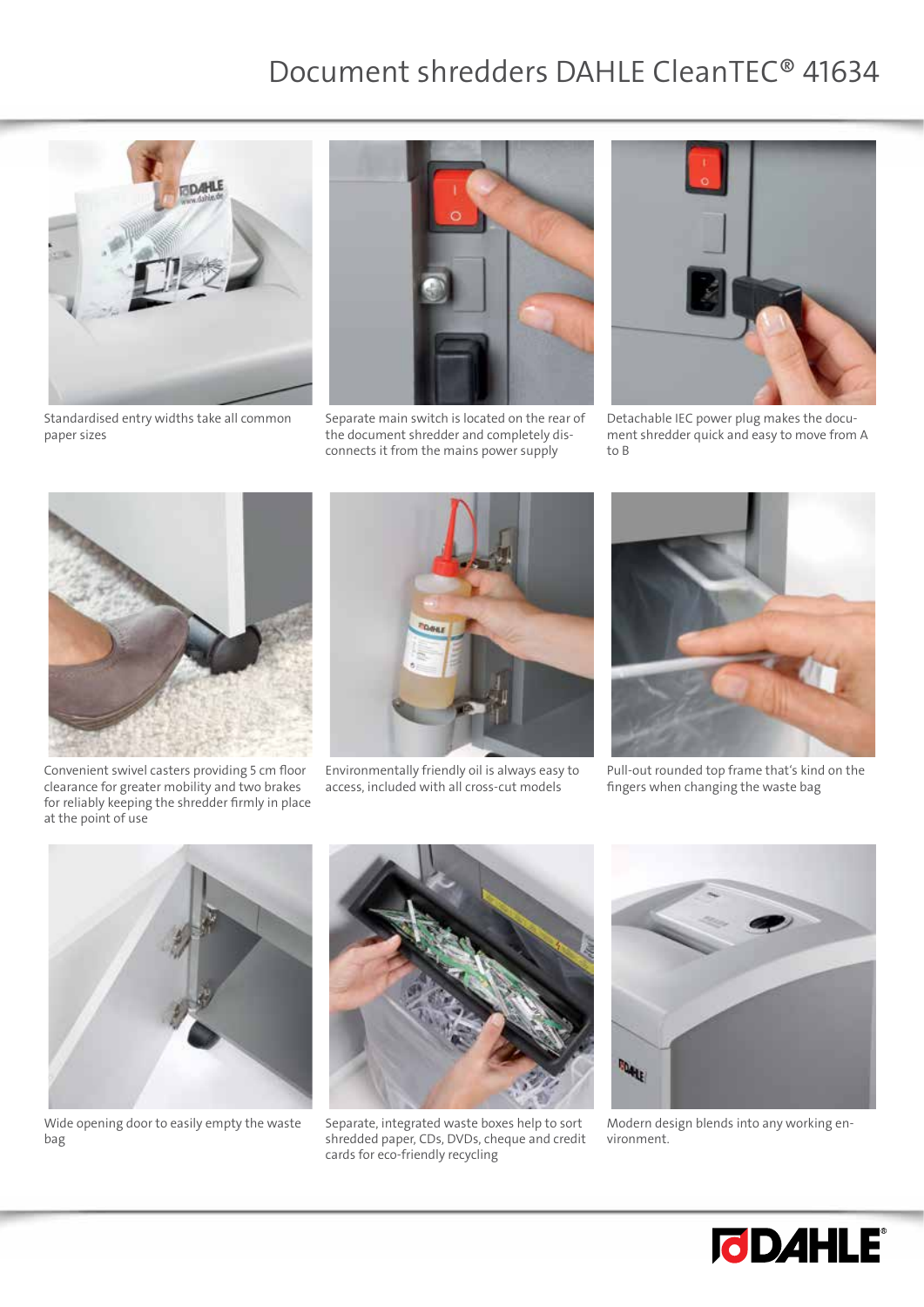

Standardised entry widths take all common paper sizes



Separate main switch is located on the rear of the document shredder and completely disconnects it from the mains power supply



Detachable IEC power plug makes the document shredder quick and easy to move from A to B



Convenient swivel casters providing 5 cm floor clearance for greater mobility and two brakes for reliably keeping the shredder firmly in place at the point of use



Environmentally friendly oil is always easy to access, included with all cross-cut models



Pull-out rounded top frame that's kind on the fingers when changing the waste bag



Wide opening door to easily empty the waste bag



Separate, integrated waste boxes help to sort shredded paper, CDs, DVDs, cheque and credit cards for eco-friendly recycling



Modern design blends into any working environment.

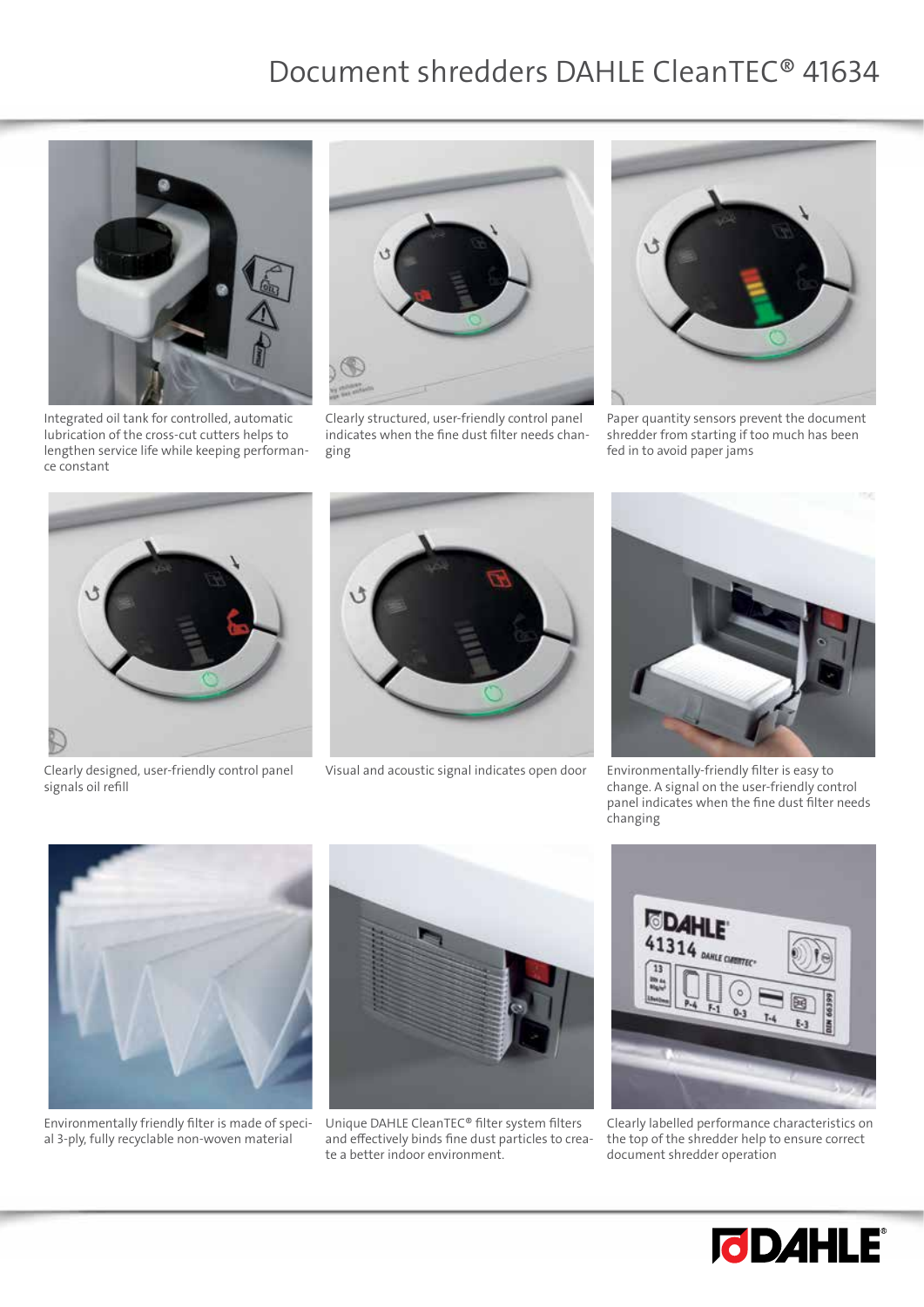

Integrated oil tank for controlled, automatic lubrication of the cross-cut cutters helps to lengthen service life while keeping performance constant



Clearly structured, user-friendly control panel indicates when the fine dust filter needs changing



Paper quantity sensors prevent the document shredder from starting if too much has been fed in to avoid paper jams



Clearly designed, user-friendly control panel signals oil refill



Visual and acoustic signal indicates open door Environmentally-friendly filter is easy to



change. A signal on the user-friendly control panel indicates when the fine dust filter needs changing



Environmentally friendly filter is made of special 3-ply, fully recyclable non-woven material



Unique DAHLE CleanTEC® filter system filters and effectively binds fine dust particles to create a better indoor environment.



Clearly labelled performance characteristics on the top of the shredder help to ensure correct document shredder operation